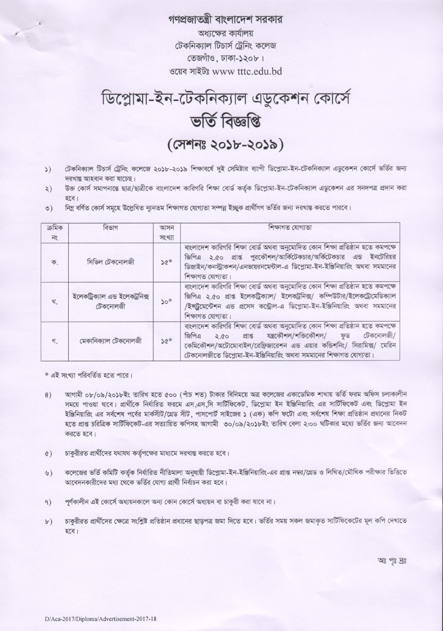## গণপ্রজাতন্ত্রী বাংলাদেশ সরকার

অধ্যক্ষের কার্যালয় টেকনিক্যাল টিচার্স ট্রেনিং কলেজ তেজগাঁও, ঢাকা-১২০৮। ওয়েব সাইটঃ www tttc.edu.bd



টেকনিক্যাল টিচার্স ট্রেনিং কলেজে ২০১৮-২০১৯ শিক্ষাবর্ষে দুই সেমিষ্টার ব্যাপী ডিপ্লোমা-ইন-টেকনিক্যাল এডুকেশন কোর্সে ভর্তির জন্য  $\mathcal{L}$ দরখান্ত আহবান করা যাচেছ।

- উক্ত কোর্স সমাপনান্তে ছাত্র/ছাত্রীকে বাংলাদেশ কারিগরি শিক্ষা বোর্ড কর্তৃক ডিপ্লোমা-ইন-টেকনিক্যাল এডুকেশন এর সনদপত্র প্রদান করা  $\zeta$ হবে।
- নিম্ন বৰ্ণিত কোৰ্স সমূহে উল্লেখিত ন্যূনতম শিক্ষাগত যোগ্যতা সম্পন্ন ইচ্ছুক প্ৰাৰ্থীগণ ভৰ্তির জন্য দরখান্ত করতে পারবে।  $\circ)$

| ক্ৰমিক        | বিভাগ                                       | আসন    | শিক্ষাগত যোগ্যতা                                                                                                                                                                                                                                                                                     |
|---------------|---------------------------------------------|--------|------------------------------------------------------------------------------------------------------------------------------------------------------------------------------------------------------------------------------------------------------------------------------------------------------|
| $\frac{1}{2}$ |                                             | সংখ্যা |                                                                                                                                                                                                                                                                                                      |
| ক.            | সিভিল টেকনোলজী                              | $36*$  | বাংলাদেশ কারিগরি শিক্ষা বোর্ড অথবা অনুমোদিত কোন শিক্ষা প্রতিষ্ঠান হতে কমপক্ষে<br>জিপিএ ২.৫০ প্রাপ্ত পুরকৌশল/আর্কিটেকচার/অর্কিটেকচার এন্ড ইনটেরিয়র<br>ডিজাইন/কনস্ট্রাকশন/এনভায়রনমেন্টাল-এ ডিপ্লোমা-ইন-ইঞ্জিনিয়ারিং অথবা সমমানের<br>শিক্ষাগত যোগ্যতা।                                               |
| খ.            | ইলেকট্রিক্যাল এন্ড ইলেকট্রনিক্স<br>টেকনোলজী | $30*$  | বাংলাদেশ কারিগরি শিক্ষা বোর্ড অথবা অনুমোদিত কোন শিক্ষা প্রতিষ্ঠান হতে কমপক্ষে<br>জিপিএ ২.৫০ প্রাপ্ত ইলেকট্রিক্যাল/ ইলেকট্রনিক্স/ কম্পিউটার/ইলেকট্রোমেডিক্যাল<br>/ইন্সট্রমেন্টেশন এন্ড প্রসেস কন্ট্রোল-এ ডিপ্লোমা-ইন-ইঞ্জিনিয়ারিং অথবা সমমানের<br>শিক্ষাগত যোগ্যতা।                                  |
| গ             | মেকানিক্যাল টেকনোলজী                        | $*26$  | বাংলাদেশ কারিগরি শিক্ষা বোর্ড অথবা অনুমোদিত কোন শিক্ষা প্রতিষ্ঠান হতে কমপক্ষে<br>প্ৰাপ্ত যন্ত্ৰকৌশল/শক্তিকৌশল/<br>জিপিএ<br>টেকনোলজী/<br>ফুড<br>2.80<br>কেমিকৌশল/অটোমোবাইল/রেফ্রিজারেশন এন্ড এয়ার কন্ডিশনিং/ সিরামিক্স/ মেরিন<br>টেকনোলজীতে ডিপ্লোমা-ইন-ইঞ্জিনিয়ারিং অথবা সমমানের শিক্ষাগত যোগ্যতা। |

\* এই সংখ্যা পরিবর্তিত হতে পারে।

- আগামী ০৮/০৯/২০১৮ইং তারিখ হতে ৫০০ (পাঁচ শত) টাকার বিনিময়ে অত্র কলেজের একাডেমিক শাখায় ভর্তি ফরম অফিস চলাকালীন  $8)$ সময়ে পাওয়া যাবে। প্রার্থীকে নির্ধারিত ফরমে এস এস.সি সার্টিফিকেট, ডিপ্লোমা ইন ইঞ্জিনিয়ারিং এর সার্টিফিকেট এবং ডিপ্লোমা ইন ইঞ্জিনিয়ারিং এর সর্বশেষ পর্বের মার্কসীট/গ্রেড সীট ়পাসপোর্ট সাইজের ১ (এক) কপি ফটো এবং সর্বশেষ শিক্ষা প্রতিষ্ঠান প্রধানের নিকট হতে প্রাপ্ত চরিত্রিক সার্টিফিকেট-এর সত্যায়িত কপিসহ আগামী ৩০/০৯/২০১৮ইং তারিখ বেলা ২:০০ ঘটিকার মধ্যে ভর্তির জন্য আবেদন করতে হবে।
- চাকুরীরত প্রার্থীদের যথাযথ কর্তৃপক্ষের মাধ্যমে দরখান্ত করতে হবে।  $(3)$
- কলেজের ভর্তি কমিটি কর্তৃক নির্ধারিত নীতিমালা অনুযায়ী ডিপ্লোমা-ইন-ইঞ্জিনিয়ারিং-এর প্রাপ্ত নম্বর/গ্রেড ও লিখিত/মৌখিক পরীক্ষার ভিত্তিতে  $U$ আবেদনকারীদের মধ্য থেকে ভর্তির যোগ্য প্রার্থী নির্বাচন করা হবে।
- পূর্ণকালীন এই কোর্সে অধ্যয়নকালে অন্য কোন কোর্সে অধ্যয়ন বা চাকুরী করা যাবে না।  $9)$
- চাকুরীরত প্রার্থীদের ক্ষেত্রে সংশ্লিষ্ট প্রতিষ্ঠান প্রধানের ছাড়পত্র জমা দিতে হবে। ভর্তির সময় সকল জমাকৃত সার্টিফিকেটের মূল কপি দেখাতে  $b$ ) হবে।